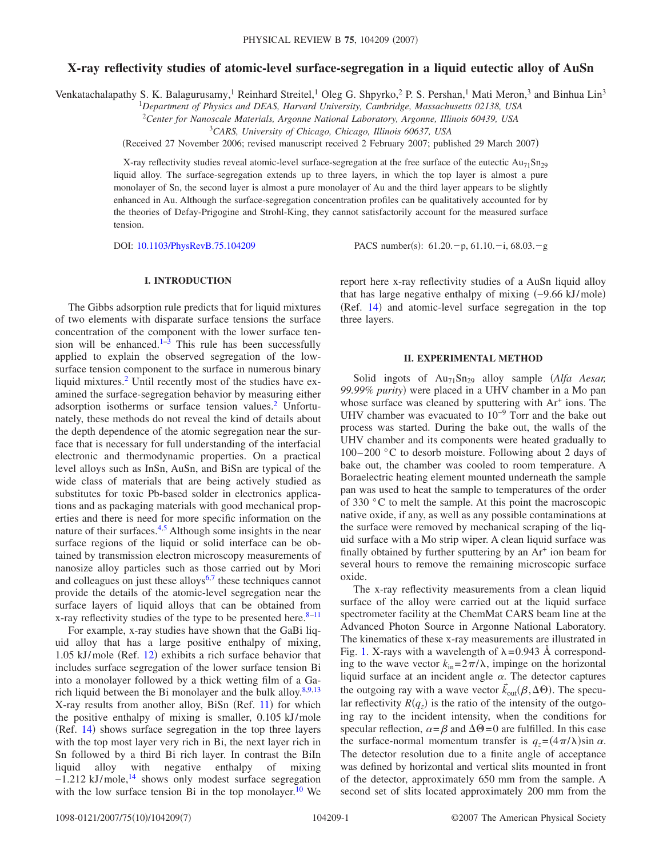# **X-ray reflectivity studies of atomic-level surface-segregation in a liquid eutectic alloy of AuSn**

Venkatachalapathy S. K. Balagurusamy,<sup>1</sup> Reinhard Streitel,<sup>1</sup> Oleg G. Shpyrko,<sup>2</sup> P. S. Pershan,<sup>1</sup> Mati Meron,<sup>3</sup> and Binhua Lin<sup>3</sup>

1 *Department of Physics and DEAS, Harvard University, Cambridge, Massachusetts 02138, USA*

<sup>2</sup>*Center for Nanoscale Materials, Argonne National Laboratory, Argonne, Illinois 60439, USA*

3 *CARS, University of Chicago, Chicago, Illinois 60637, USA*

(Received 27 November 2006; revised manuscript received 2 February 2007; published 29 March 2007)

X-ray reflectivity studies reveal atomic-level surface-segregation at the free surface of the eutectic  $Au_{71}Sn_{29}$ liquid alloy. The surface-segregation extends up to three layers, in which the top layer is almost a pure monolayer of Sn, the second layer is almost a pure monolayer of Au and the third layer appears to be slightly enhanced in Au. Although the surface-segregation concentration profiles can be qualitatively accounted for by the theories of Defay-Prigogine and Strohl-King, they cannot satisfactorily account for the measured surface tension.

DOI: [10.1103/PhysRevB.75.104209](http://dx.doi.org/10.1103/PhysRevB.75.104209)

PACS number(s):  $61.20 - p$ ,  $61.10 - i$ ,  $68.03 - g$ 

## **I. INTRODUCTION**

The Gibbs adsorption rule predicts that for liquid mixtures of two elements with disparate surface tensions the surface concentration of the component with the lower surface ten-sion will be enhanced.<sup>1–[3](#page-6-1)</sup> This rule has been successfully applied to explain the observed segregation of the lowsurface tension component to the surface in numerous binary liquid mixtures.<sup>2</sup> Until recently most of the studies have examined the surface-segregation behavior by measuring either adsorption isotherms or surface tension values[.2](#page-6-2) Unfortunately, these methods do not reveal the kind of details about the depth dependence of the atomic segregation near the surface that is necessary for full understanding of the interfacial electronic and thermodynamic properties. On a practical level alloys such as InSn, AuSn, and BiSn are typical of the wide class of materials that are being actively studied as substitutes for toxic Pb-based solder in electronics applications and as packaging materials with good mechanical properties and there is need for more specific information on the nature of their surfaces.<sup>4[,5](#page-6-4)</sup> Although some insights in the near surface regions of the liquid or solid interface can be obtained by transmission electron microscopy measurements of nanosize alloy particles such as those carried out by Mori and colleagues on just these alloys<sup> $6,7$  $6,7$ </sup> these techniques cannot provide the details of the atomic-level segregation near the surface layers of liquid alloys that can be obtained from x-ray reflectivity studies of the type to be presented here. $8-11$ 

For example, x-ray studies have shown that the GaBi liquid alloy that has a large positive enthalpy of mixing, 1.05 kJ/mole (Ref. [12](#page-6-9)) exhibits a rich surface behavior that includes surface segregation of the lower surface tension Bi into a monolayer followed by a thick wetting film of a Garich liquid between the Bi monolayer and the bulk alloy. $8,9,13$  $8,9,13$  $8,9,13$ X-ray results from another alloy, BiSn (Ref. [11](#page-6-8)) for which the positive enthalpy of mixing is smaller, 0.105 kJ/mole (Ref. [14](#page-6-12)) shows surface segregation in the top three layers with the top most layer very rich in Bi, the next layer rich in Sn followed by a third Bi rich layer. In contrast the BiIn liquid alloy with negative enthalpy of mixing −1.212 kJ/mole,<sup>14</sup> shows only modest surface segregation with the low surface tension Bi in the top monolayer.<sup>10</sup> We report here x-ray reflectivity studies of a AuSn liquid alloy that has large negative enthalpy of mixing (-9.66 kJ/mole) (Ref. [14](#page-6-12)) and atomic-level surface segregation in the top three layers.

### **II. EXPERIMENTAL METHOD**

Solid ingots of Au<sub>71</sub>Sn<sub>29</sub> alloy sample (Alfa Aesar, 99.99% purity) were placed in a UHV chamber in a Mo pan whose surface was cleaned by sputtering with  $Ar<sup>+</sup>$  ions. The UHV chamber was evacuated to  $10^{-9}$  Torr and the bake out process was started. During the bake out, the walls of the UHV chamber and its components were heated gradually to  $100-200$  °C to desorb moisture. Following about 2 days of bake out, the chamber was cooled to room temperature. A Boraelectric heating element mounted underneath the sample pan was used to heat the sample to temperatures of the order of 330 °C to melt the sample. At this point the macroscopic native oxide, if any, as well as any possible contaminations at the surface were removed by mechanical scraping of the liquid surface with a Mo strip wiper. A clean liquid surface was finally obtained by further sputtering by an  $Ar^+$  ion beam for several hours to remove the remaining microscopic surface oxide.

The x-ray reflectivity measurements from a clean liquid surface of the alloy were carried out at the liquid surface spectrometer facility at the ChemMat CARS beam line at the Advanced Photon Source in Argonne National Laboratory. The kinematics of these x-ray measurements are illustrated in Fig. [1.](#page-1-0) X-rays with a wavelength of  $\lambda = 0.943$  Å corresponding to the wave vector  $k_{\text{in}} = 2\pi/\lambda$ , impinge on the horizontal liquid surface at an incident angle  $\alpha$ . The detector captures the outgoing ray with a wave vector  $\vec{k}_{\text{out}}(\beta, \Delta\Theta)$ . The specular reflectivity  $R(q_z)$  is the ratio of the intensity of the outgoing ray to the incident intensity, when the conditions for specular reflection,  $\alpha = \beta$  and  $\Delta \Theta = 0$  are fulfilled. In this case the surface-normal momentum transfer is  $q_z = (4\pi/\lambda)\sin \alpha$ . The detector resolution due to a finite angle of acceptance was defined by horizontal and vertical slits mounted in front of the detector, approximately 650 mm from the sample. A second set of slits located approximately 200 mm from the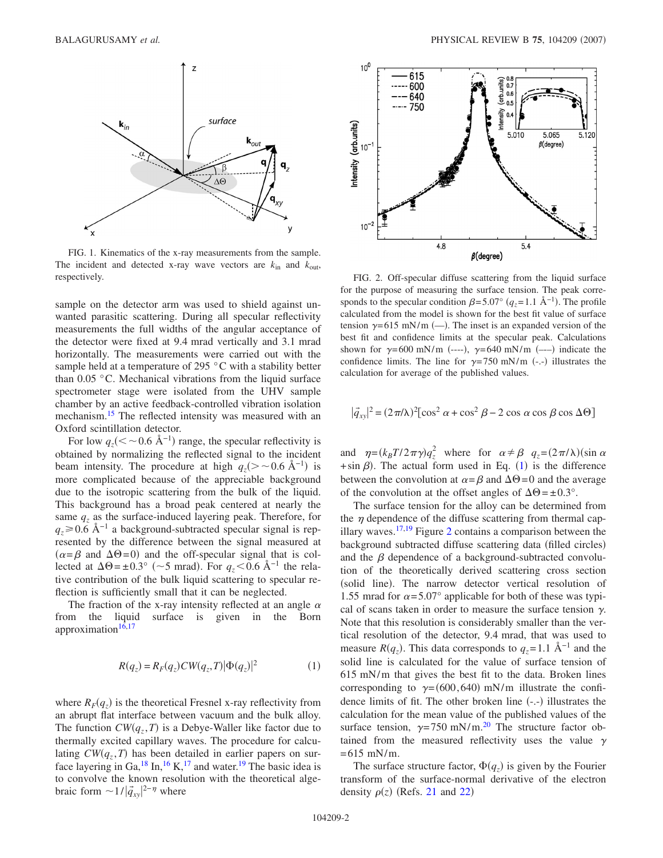<span id="page-1-0"></span>

FIG. 1. Kinematics of the x-ray measurements from the sample. The incident and detected x-ray wave vectors are *k*in and *k*out, respectively. FIG. 2. Off-specular diffuse scattering from the liquid surface

sample on the detector arm was used to shield against unwanted parasitic scattering. During all specular reflectivity measurements the full widths of the angular acceptance of the detector were fixed at 9.4 mrad vertically and 3.1 mrad horizontally. The measurements were carried out with the sample held at a temperature of 295 $\degree$ C with a stability better than 0.05 °C. Mechanical vibrations from the liquid surface spectrometer stage were isolated from the UHV sample chamber by an active feedback-controlled vibration isolation mechanism[.15](#page-6-14) The reflected intensity was measured with an Oxford scintillation detector.

For low  $q_z$ ( $\leq$  ~0.6 Å<sup>-1</sup>) range, the specular reflectivity is obtained by normalizing the reflected signal to the incident beam intensity. The procedure at high  $q_z$ (> ~ 0.6 Å<sup>-1</sup>) is more complicated because of the appreciable background due to the isotropic scattering from the bulk of the liquid. This background has a broad peak centered at nearly the same  $q<sub>z</sub>$  as the surface-induced layering peak. Therefore, for *q<sub>z</sub>* ≥ 0.6 Å<sup>-1</sup> a background-subtracted specular signal is represented by the difference between the signal measured at  $(\alpha = \beta \text{ and } \Delta \Theta = 0)$  and the off-specular signal that is collected at  $\Delta \Theta = \pm 0.3^{\circ}$  (~5 mrad). For  $q_z < 0.6$  Å<sup>-1</sup> the relative contribution of the bulk liquid scattering to specular reflection is sufficiently small that it can be neglected.

The fraction of the x-ray intensity reflected at an angle  $\alpha$ from the liquid surface is given in the Born approximation $16,17$  $16,17$ 

$$
R(q_z) = R_F(q_z)CW(q_z, T) |\Phi(q_z)|^2
$$
 (1)

<span id="page-1-1"></span>where  $R_F(q_z)$  is the theoretical Fresnel x-ray reflectivity from an abrupt flat interface between vacuum and the bulk alloy. The function  $CW(q_z, T)$  is a Debye-Waller like factor due to thermally excited capillary waves. The procedure for calculating  $CW(q_z, T)$  has been detailed in earlier papers on surface layering in Ga,<sup>18</sup> In,<sup>16</sup> K,<sup>17</sup> and water.<sup>19</sup> The basic idea is to convolve the known resolution with the theoretical algebraic form  $\sim 1/|\vec{q}_{xy}|^{2-\eta}$  where

<span id="page-1-2"></span>

for the purpose of measuring the surface tension. The peak corresponds to the specular condition  $\beta = 5.07$ ° *(q<sub>z</sub>*=1.1 Å<sup>-1</sup>). The profile calculated from the model is shown for the best fit value of surface tension  $\gamma = 615$  mN/m (-). The inset is an expanded version of the best fit and confidence limits at the specular peak. Calculations shown for  $\gamma = 600$  mN/m (----),  $\gamma = 640$  mN/m (---) indicate the confidence limits. The line for  $\gamma = 750$  mN/m (-.-) illustrates the calculation for average of the published values.

$$
|\vec{q}_{xy}|^2 = (2\pi/\lambda)^2 [\cos^2 \alpha + \cos^2 \beta - 2 \cos \alpha \cos \beta \cos \Delta \Theta]
$$

and  $\eta = (k_B T / 2\pi \gamma) q_z^2$  where for  $\alpha \neq \beta$   $q_z = (2\pi / \lambda)(\sin \alpha)$ + sin  $\beta$ ). The actual form used in Eq. ([1](#page-1-1)) is the difference between the convolution at  $\alpha = \beta$  and  $\Delta \Theta = 0$  and the average of the convolution at the offset angles of  $\Delta\Theta = \pm 0.3^{\circ}$ .

The surface tension for the alloy can be determined from the  $\eta$  dependence of the diffuse scattering from thermal cap-illary waves.<sup>17,[19](#page-6-18)</sup> Figure [2](#page-1-2) contains a comparison between the background subtracted diffuse scattering data (filled circles) and the  $\beta$  dependence of a background-subtracted convolution of the theoretically derived scattering cross section (solid line). The narrow detector vertical resolution of 1.55 mrad for  $\alpha = 5.07^{\circ}$  applicable for both of these was typical of scans taken in order to measure the surface tension  $\gamma$ . Note that this resolution is considerably smaller than the vertical resolution of the detector, 9.4 mrad, that was used to measure *R*( $q_z$ ). This data corresponds to  $q_z = 1.1 \text{ Å}^{-1}$  and the solid line is calculated for the value of surface tension of 615 mN/m that gives the best fit to the data. Broken lines corresponding to  $\gamma = (600, 640)$  mN/m illustrate the confidence limits of fit. The other broken line (-.-) illustrates the calculation for the mean value of the published values of the surface tension,  $\gamma = 750$  mN/m.<sup>[20](#page-6-19)</sup> The structure factor obtained from the measured reflectivity uses the value  $\gamma$  $= 615$  mN/m.

The surface structure factor,  $\Phi(q_z)$  is given by the Fourier transform of the surface-normal derivative of the electron density  $\rho(z)$  (Refs. [21](#page-6-20) and [22](#page-6-21))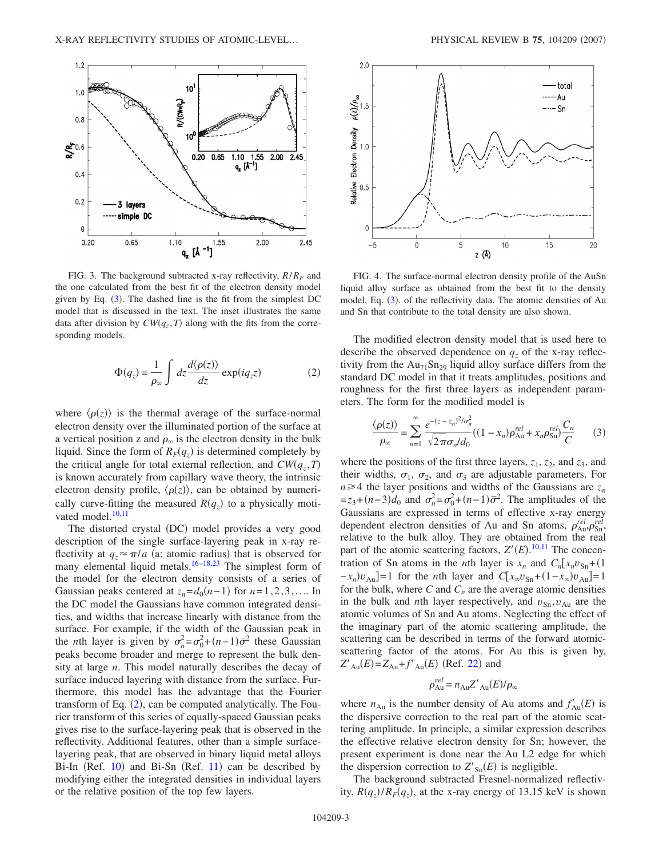<span id="page-2-2"></span>

FIG. 3. The background subtracted x-ray reflectivity, *R*/*RF* and the one calculated from the best fit of the electron density model given by Eq.  $(3)$  $(3)$  $(3)$ . The dashed line is the fit from the simplest DC model that is discussed in the text. The inset illustrates the same data after division by  $CW(q_z, T)$  along with the fits from the corresponding models.

$$
\Phi(q_z) = \frac{1}{\rho_{\infty}} \int dz \frac{d\langle \rho(z) \rangle}{dz} \exp(iq_z z)
$$
 (2)

<span id="page-2-0"></span>where  $\langle \rho(z) \rangle$  is the thermal average of the surface-normal electron density over the illuminated portion of the surface at a vertical position z and  $\rho_{\infty}$  is the electron density in the bulk liquid. Since the form of  $R_F(q_z)$  is determined completely by the critical angle for total external reflection, and  $CW(q_z, T)$ is known accurately from capillary wave theory, the intrinsic electron density profile,  $\langle \rho(z) \rangle$ , can be obtained by numerically curve-fitting the measured  $R(q_z)$  to a physically moti-vated model.<sup>10[,11](#page-6-8)</sup>

The distorted crystal (DC) model provides a very good description of the single surface-layering peak in x-ray reflectivity at  $q_z \approx \pi/a$  (a: atomic radius) that is observed for many elemental liquid metals.<sup>16[–18](#page-6-17)[,23](#page-6-12)</sup> The simplest form of the model for the electron density consists of a series of Gaussian peaks centered at  $z_n = d_0(n-1)$  for  $n = 1, 2, 3, \ldots$  In the DC model the Gaussians have common integrated densities, and widths that increase linearly with distance from the surface. For example, if the width of the Gaussian peak in the *n*th layer is given by  $\sigma_n^2 = \sigma_0^2 + (n-1)\bar{\sigma}^2$  these Gaussian peaks become broader and merge to represent the bulk density at large *n*. This model naturally describes the decay of surface induced layering with distance from the surface. Furthermore, this model has the advantage that the Fourier transform of Eq.  $(2)$  $(2)$  $(2)$ , can be computed analytically. The Fourier transform of this series of equally-spaced Gaussian peaks gives rise to the surface-layering peak that is observed in the reflectivity. Additional features, other than a simple surfacelayering peak, that are observed in binary liquid metal alloys Bi-In (Ref. [10](#page-6-13)) and Bi-Sn (Ref. [11](#page-6-8)) can be described by modifying either the integrated densities in individual layers or the relative position of the top few layers.

<span id="page-2-3"></span>

FIG. 4. The surface-normal electron density profile of the AuSn liquid alloy surface as obtained from the best fit to the density model, Eq. ([3](#page-2-1)). of the reflectivity data. The atomic densities of Au and Sn that contribute to the total density are also shown.

The modified electron density model that is used here to describe the observed dependence on  $q<sub>z</sub>$  of the x-ray reflectivity from the  $Au_{71}Sn_{29}$  liquid alloy surface differs from the standard DC model in that it treats amplitudes, positions and roughness for the first three layers as independent parameters. The form for the modified model is

<span id="page-2-1"></span>
$$
\frac{\langle \rho(z) \rangle}{\rho_{\infty}} = \sum_{n=1}^{\infty} \frac{e^{-(z-z_n)^2/\sigma_n^2}}{\sqrt{2\pi}\sigma_n/d_0} ((1-x_n)\rho_{\text{Au}}^{rel} + x_n \rho_{\text{Sn}}^{rel}) \frac{C_n}{C}
$$
(3)

where the positions of the first three layers,  $z_1$ ,  $z_2$ , and  $z_3$ , and their widths,  $\sigma_1$ ,  $\sigma_2$ , and  $\sigma_3$  are adjustable parameters. For  $n \geq 4$  the layer positions and widths of the Gaussians are  $z_n$  $= z_3 + (n-3)d_0$  and  $\sigma_n^2 = \sigma_0^2 + (n-1)\bar{\sigma}^2$ . The amplitudes of the Gaussians are expressed in terms of effective x-ray energy dependent electron densities of Au and Sn atoms,  $\rho_{Au}^{rel}, \rho_{Sn}^{rel}$ , relative to the bulk alloy. They are obtained from the real part of the atomic scattering factors,  $Z'(E)$ .<sup>[10,](#page-6-13)[11](#page-6-8)</sup> The concentration of Sn atoms in the *n*th layer is  $x_n$  and  $C_n[x_n v_{Sn}+(1$  $(-x_n)v_{Au}$  = 1 for the *n*th layer and  $C[x_\infty v_{Sn} + (1-x_\infty)v_{Au}] = 1$ for the bulk, where  $C$  and  $C_n$  are the average atomic densities in the bulk and *n*th layer respectively, and  $v_{\text{Sn}}$ ,  $v_{\text{Au}}$  are the atomic volumes of Sn and Au atoms. Neglecting the effect of the imaginary part of the atomic scattering amplitude, the scattering can be described in terms of the forward atomicscattering factor of the atoms. For Au this is given by,  $Z'_{\text{Au}}(E) = Z_{\text{Au}} + f'_{\text{Au}}(E)$  (Ref. [22](#page-6-21)) and

$$
\rho_{\rm Au}^{rel} = n_{\rm Au} Z'_{\rm Au}(E) / \rho_{\infty}
$$

where  $n_{Au}$  is the number density of Au atoms and  $f'_{Au}(E)$  is the dispersive correction to the real part of the atomic scattering amplitude. In principle, a similar expression describes the effective relative electron density for Sn; however, the present experiment is done near the Au L2 edge for which the dispersion correction to  $Z'_{Sn}(E)$  is negligible.

The background subtracted Fresnel-normalized reflectivity,  $R(q_z)/R_F(q_z)$ , at the x-ray energy of 13.15 keV is shown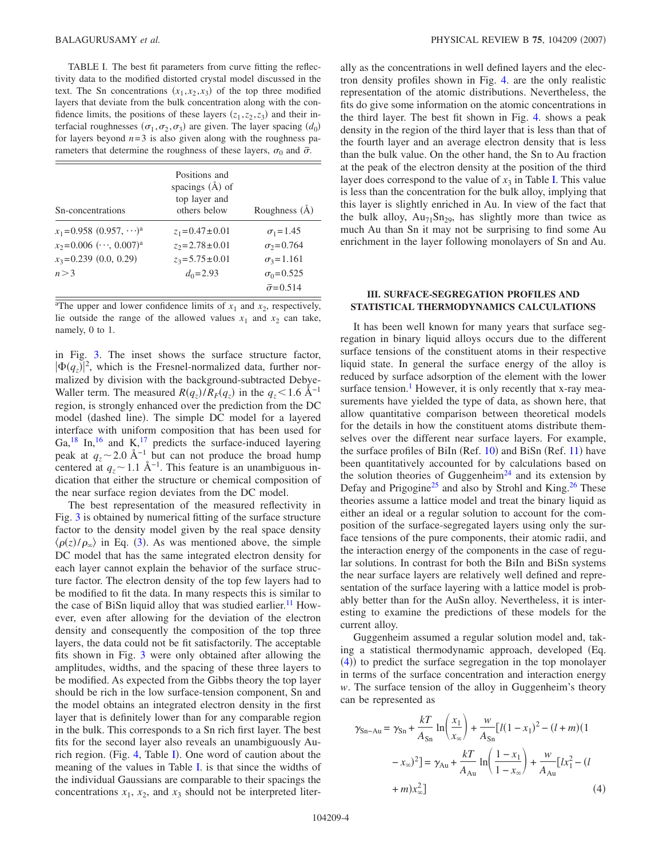<span id="page-3-0"></span>TABLE I. The best fit parameters from curve fitting the reflectivity data to the modified distorted crystal model discussed in the text. The Sn concentrations  $(x_1, x_2, x_3)$  of the top three modified layers that deviate from the bulk concentration along with the confidence limits, the positions of these layers  $(z_1, z_2, z_3)$  and their interfacial roughnesses  $(\sigma_1, \sigma_2, \sigma_3)$  are given. The layer spacing  $(d_0)$ for layers beyond  $n=3$  is also given along with the roughness parameters that determine the roughness of these layers,  $\sigma_0$  and  $\bar{\sigma}$ .

| Sn-concentrations                             | Positions and<br>spacings $(\hat{A})$ of<br>top layer and<br>others below | Roughness (A)         |
|-----------------------------------------------|---------------------------------------------------------------------------|-----------------------|
| $x_1 = 0.958$ (0.957, $\cdots$ ) <sup>a</sup> | $z_1 = 0.47 \pm 0.01$                                                     | $\sigma_1 = 1.45$     |
| $x_2 = 0.006$ (, 0.007) <sup>a</sup>          | $z_2 = 2.78 \pm 0.01$                                                     | $\sigma_2 = 0.764$    |
| $x_3=0.239$ (0.0, 0.29)                       | $z_3 = 5.75 \pm 0.01$                                                     | $\sigma_3 = 1.161$    |
| n > 3                                         | $d_0 = 2.93$                                                              | $\sigma_0 = 0.525$    |
|                                               |                                                                           | $\bar{\sigma}$ =0.514 |

<sup>a</sup>The upper and lower confidence limits of  $x_1$  and  $x_2$ , respectively, lie outside the range of the allowed values  $x_1$  and  $x_2$  can take, namely, 0 to 1.

in Fig. [3.](#page-2-2) The inset shows the surface structure factor,  $|\Phi(q_z)|^2$ , which is the Fresnel-normalized data, further normalized by division with the background-subtracted Debye-Waller term. The measured  $R(q_z)/R_F(q_z)$  in the  $q_z$ <1.6 Å<sup>-1</sup> region, is strongly enhanced over the prediction from the DC model (dashed line). The simple DC model for a layered interface with uniform composition that has been used for Ga,<sup>[18](#page-6-17)</sup> In,<sup>16</sup> and K,<sup>17</sup> predicts the surface-induced layering peak at  $q_z \sim 2.0 \text{ Å}^{-1}$  but can not produce the broad hump centered at  $q_z \sim 1.1 \text{ Å}^{-1}$ . This feature is an unambiguous indication that either the structure or chemical composition of the near surface region deviates from the DC model.

The best representation of the measured reflectivity in Fig. [3](#page-2-2) is obtained by numerical fitting of the surface structure factor to the density model given by the real space density  $\langle \rho(z)/\rho_{\infty} \rangle$  in Eq. ([3](#page-2-1)). As was mentioned above, the simple DC model that has the same integrated electron density for each layer cannot explain the behavior of the surface structure factor. The electron density of the top few layers had to be modified to fit the data. In many respects this is similar to the case of BiSn liquid alloy that was studied earlier.<sup>11</sup> However, even after allowing for the deviation of the electron density and consequently the composition of the top three layers, the data could not be fit satisfactorily. The acceptable fits shown in Fig. [3](#page-2-2) were only obtained after allowing the amplitudes, widths, and the spacing of these three layers to be modified. As expected from the Gibbs theory the top layer should be rich in the low surface-tension component, Sn and the model obtains an integrated electron density in the first layer that is definitely lower than for any comparable region in the bulk. This corresponds to a Sn rich first layer. The best fits for the second layer also reveals an unambiguously Au-rich region. (Fig. [4,](#page-2-3) Table [I](#page-3-0)). One word of caution about the meaning of the values in Table [I.](#page-3-0) is that since the widths of the individual Gaussians are comparable to their spacings the concentrations  $x_1$ ,  $x_2$ , and  $x_3$  should not be interpreted literally as the concentrations in well defined layers and the electron density profiles shown in Fig. [4.](#page-2-3) are the only realistic representation of the atomic distributions. Nevertheless, the fits do give some information on the atomic concentrations in the third layer. The best fit shown in Fig. [4.](#page-2-3) shows a peak density in the region of the third layer that is less than that of the fourth layer and an average electron density that is less than the bulk value. On the other hand, the Sn to Au fraction at the peak of the electron density at the position of the third layer does correspond to the value of  $x_3$  in Table [I.](#page-3-0) This value is less than the concentration for the bulk alloy, implying that this layer is slightly enriched in Au. In view of the fact that the bulk alloy,  $Au_{71}Sn_{29}$ , has slightly more than twice as much Au than Sn it may not be surprising to find some Au enrichment in the layer following monolayers of Sn and Au.

# **III. SURFACE-SEGREGATION PROFILES AND STATISTICAL THERMODYNAMICS CALCULATIONS**

It has been well known for many years that surface segregation in binary liquid alloys occurs due to the different surface tensions of the constituent atoms in their respective liquid state. In general the surface energy of the alloy is reduced by surface adsorption of the element with the lower surface tension.<sup>1</sup> However, it is only recently that x-ray measurements have yielded the type of data, as shown here, that allow quantitative comparison between theoretical models for the details in how the constituent atoms distribute themselves over the different near surface layers. For example, the surface profiles of BiIn (Ref.  $10$ ) and BiSn (Ref.  $11$ ) have been quantitatively accounted for by calculations based on the solution theories of Guggenheim<sup>24</sup> and its extension by Defay and Prigogine<sup>25</sup> and also by Strohl and King.<sup>26</sup> These theories assume a lattice model and treat the binary liquid as either an ideal or a regular solution to account for the composition of the surface-segregated layers using only the surface tensions of the pure components, their atomic radii, and the interaction energy of the components in the case of regular solutions. In contrast for both the BiIn and BiSn systems the near surface layers are relatively well defined and representation of the surface layering with a lattice model is probably better than for the AuSn alloy. Nevertheless, it is interesting to examine the predictions of these models for the current alloy.

Guggenheim assumed a regular solution model and, taking a statistical thermodynamic approach, developed Eq. ([4](#page-3-1))) to predict the surface segregation in the top monolayer in terms of the surface concentration and interaction energy *w*. The surface tension of the alloy in Guggenheim's theory can be represented as

<span id="page-3-1"></span>
$$
\gamma_{\text{Sn-Au}} = \gamma_{\text{Sn}} + \frac{kT}{A_{\text{Sn}}} \ln \left( \frac{x_1}{x_\infty} \right) + \frac{w}{A_{\text{Sn}}} [l(1 - x_1)^2 - (l + m)(1 - x_\infty)^2] = \gamma_{\text{Au}} + \frac{kT}{A_{\text{Au}}} \ln \left( \frac{1 - x_1}{1 - x_\infty} \right) + \frac{w}{A_{\text{Au}}} [lx_1^2 - (l + m)x_\infty^2]
$$
\n(4)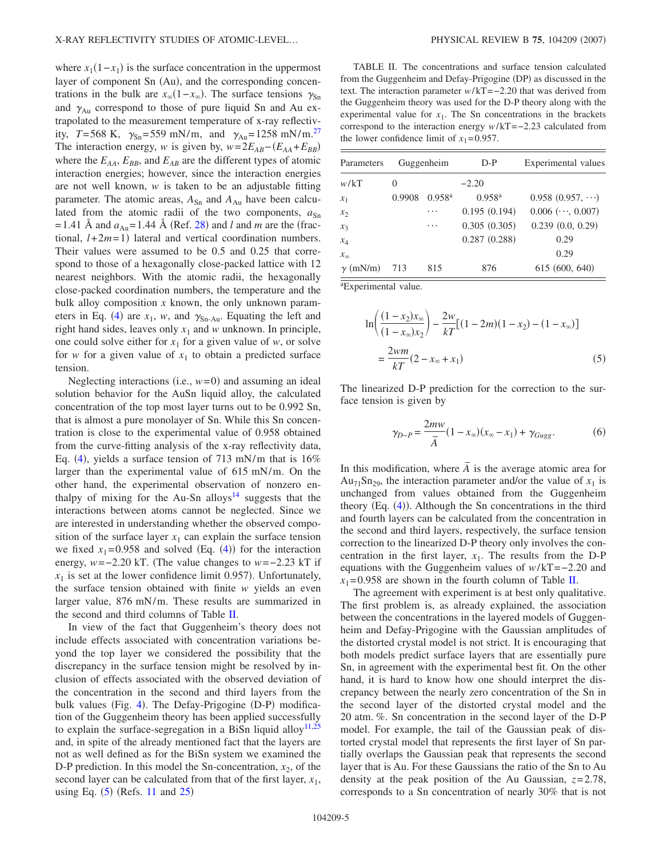where  $x_1(1-x_1)$  is the surface concentration in the uppermost layer of component Sn (Au), and the corresponding concentrations in the bulk are  $x_{\infty}(1-x_{\infty})$ . The surface tensions  $\gamma_{\text{Sn}}$ and  $\gamma_{Au}$  correspond to those of pure liquid Sn and Au extrapolated to the measurement temperature of x-ray reflectivity, T=568 K,  $\gamma_{\text{Sn}}$ =559 mN/m, and  $\gamma_{\text{Au}}$ =1258 mN/m.<sup>27</sup> The interaction energy, *w* is given by,  $w=2E_{AB}-(E_{AA}+E_{BB})$ where the  $E_{AA}$ ,  $E_{BB}$ , and  $E_{AB}$  are the different types of atomic interaction energies; however, since the interaction energies are not well known, *w* is taken to be an adjustable fitting parameter. The atomic areas,  $A_{\rm Sn}$  and  $A_{\rm Au}$  have been calculated from the atomic radii of the two components,  $a_{\text{Sn}}$  $= 1.41$  Å and  $a_{Au} = 1.44$  Å (Ref. [28](#page-6-26)) and *l* and *m* are the (fractional,  $l+2m=1$ ) lateral and vertical coordination numbers. Their values were assumed to be 0.5 and 0.25 that correspond to those of a hexagonally close-packed lattice with 12 nearest neighbors. With the atomic radii, the hexagonally close-packed coordination numbers, the temperature and the bulk alloy composition *x* known, the only unknown param-eters in Eq. ([4](#page-3-1)) are  $x_1$ , *w*, and  $\gamma_{\text{Sn-Au}}$ . Equating the left and right hand sides, leaves only  $x_1$  and  $w$  unknown. In principle, one could solve either for  $x_1$  for a given value of  $w$ , or solve for *w* for a given value of  $x_1$  to obtain a predicted surface tension.

Neglecting interactions (i.e.,  $w=0$ ) and assuming an ideal solution behavior for the AuSn liquid alloy, the calculated concentration of the top most layer turns out to be 0.992 Sn, that is almost a pure monolayer of Sn. While this Sn concentration is close to the experimental value of 0.958 obtained from the curve-fitting analysis of the x-ray reflectivity data, Eq. ([4](#page-3-1)), yields a surface tension of 713 mN/m that is  $16\%$ larger than the experimental value of 615 mN/m. On the other hand, the experimental observation of nonzero enthalpy of mixing for the Au-Sn alloys<sup>14</sup> suggests that the interactions between atoms cannot be neglected. Since we are interested in understanding whether the observed composition of the surface layer  $x_1$  can explain the surface tension we fixed  $x_1 = 0.958$  and solved (Eq. ([4](#page-3-1))) for the interaction energy,  $w=-2.20$  kT. (The value changes to  $w=-2.23$  kT if  $x_1$  is set at the lower confidence limit 0.957). Unfortunately, the surface tension obtained with finite *w* yields an even larger value, 876 mN/m. These results are summarized in the second and third columns of Table [II.](#page-4-0)

In view of the fact that Guggenheim's theory does not include effects associated with concentration variations beyond the top layer we considered the possibility that the discrepancy in the surface tension might be resolved by inclusion of effects associated with the observed deviation of the concentration in the second and third layers from the bulk values (Fig. [4](#page-2-3)). The Defay-Prigogine (D-P) modification of the Guggenheim theory has been applied successfully to explain the surface-segregation in a BiSn liquid alloy<sup>11,[25](#page-6-23)</sup> and, in spite of the already mentioned fact that the layers are not as well defined as for the BiSn system we examined the D-P prediction. In this model the Sn-concentration,  $x_2$ , of the second layer can be calculated from that of the first layer,  $x_1$ , using Eq.  $(5)$  $(5)$  $(5)$  (Refs. [11](#page-6-8) and  $25$ )

<span id="page-4-0"></span>TABLE II. The concentrations and surface tension calculated from the Guggenheim and Defay-Prigogine (DP) as discussed in the text. The interaction parameter *w*/ kT=−2.20 that was derived from the Guggenheim theory was used for the D-P theory along with the experimental value for  $x_1$ . The Sn concentrations in the brackets correspond to the interaction energy *w*/ kT=−2.23 calculated from the lower confidence limit of  $x_1 = 0.957$ .

| Parameters      |              | Guggenheim      | $D-P$           | Experimental values         |
|-----------------|--------------|-----------------|-----------------|-----------------------------|
| w/kT            | $\mathbf{0}$ |                 | $-2.20$         |                             |
| $x_1$           | 0.9908       | $0.958^{\rm a}$ | $0.958^{\rm a}$ | $0.958$ $(0.957, \cdots)$   |
| $x_2$           |              | .               | 0.195(0.194)    | $0.006$ ( $\cdots$ , 0.007) |
| $x_3$           |              | .               | 0.305(0.305)    | 0.239(0.0, 0.29)            |
| $x_4$           |              |                 | 0.287(0.288)    | 0.29                        |
| $x_{\infty}$    |              |                 |                 | 0.29                        |
| $\gamma$ (mN/m) | 713          | 815             | 876             | 615 (600, 640)              |
|                 |              |                 |                 |                             |

<span id="page-4-1"></span>a Experimental value.

$$
\ln\left(\frac{(1-x_2)x_\infty}{(1-x_\infty)x_2}\right) - \frac{2w}{kT}[(1-2m)(1-x_2) - (1-x_\infty)]
$$
  
= 
$$
\frac{2wm}{kT}(2-x_\infty+x_1)
$$
 (5)

The linearized D-P prediction for the correction to the surface tension is given by

$$
\gamma_{D-P} = \frac{2mw}{\bar{A}}(1 - x_{\infty})(x_{\infty} - x_1) + \gamma_{Gugg}.
$$
 (6)

In this modification, where  $\overline{A}$  is the average atomic area for  $Au_{71}Sn_{29}$ , the interaction parameter and/or the value of  $x_1$  is unchanged from values obtained from the Guggenheim theory  $(Eq. (4))$  $(Eq. (4))$  $(Eq. (4))$ . Although the Sn concentrations in the third and fourth layers can be calculated from the concentration in the second and third layers, respectively, the surface tension correction to the linearized D-P theory only involves the concentration in the first layer,  $x_1$ . The results from the D-P equations with the Guggenheim values of *w*/ kT=−2.20 and  $x_1 = 0.958$  are shown in the fourth column of Table [II.](#page-4-0)

The agreement with experiment is at best only qualitative. The first problem is, as already explained, the association between the concentrations in the layered models of Guggenheim and Defay-Prigogine with the Gaussian amplitudes of the distorted crystal model is not strict. It is encouraging that both models predict surface layers that are essentially pure Sn, in agreement with the experimental best fit. On the other hand, it is hard to know how one should interpret the discrepancy between the nearly zero concentration of the Sn in the second layer of the distorted crystal model and the 20 atm. %. Sn concentration in the second layer of the D-P model. For example, the tail of the Gaussian peak of distorted crystal model that represents the first layer of Sn partially overlaps the Gaussian peak that represents the second layer that is Au. For these Gaussians the ratio of the Sn to Au density at the peak position of the Au Gaussian, *z*= 2.78, corresponds to a Sn concentration of nearly 30% that is not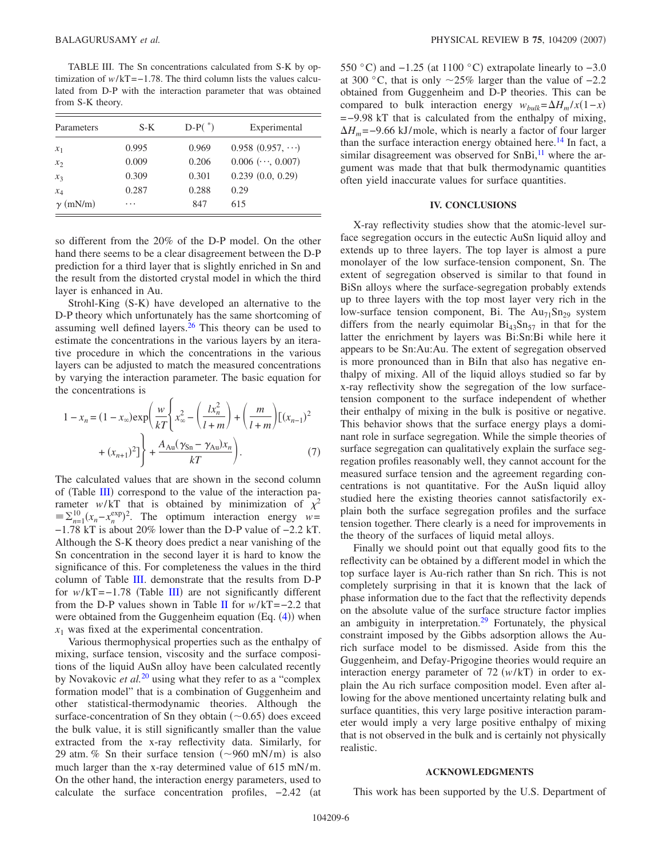<span id="page-5-0"></span>TABLE III. The Sn concentrations calculated from S-K by optimization of *w*/ kT=−1.78. The third column lists the values calculated from D-P with the interaction parameter that was obtained from S-K theory.

| Parameters      | $S-K$    | $D-P(*)$ | Experimental                |
|-----------------|----------|----------|-----------------------------|
| $x_1$           | 0.995    | 0.969    | $0.958$ $(0.957, \cdots)$   |
| $x_2$           | 0.009    | 0.206    | $0.006$ ( $\cdots$ , 0.007) |
| $x_3$           | 0.309    | 0.301    | 0.239(0.0, 0.29)            |
| $x_4$           | 0.287    | 0.288    | 0.29                        |
| $\gamma$ (mN/m) | $\cdots$ | 847      | 615                         |

so different from the 20% of the D-P model. On the other hand there seems to be a clear disagreement between the D-P prediction for a third layer that is slightly enriched in Sn and the result from the distorted crystal model in which the third layer is enhanced in Au.

Strohl-King (S-K) have developed an alternative to the D-P theory which unfortunately has the same shortcoming of assuming well defined layers. $26$  This theory can be used to estimate the concentrations in the various layers by an iterative procedure in which the concentrations in the various layers can be adjusted to match the measured concentrations by varying the interaction parameter. The basic equation for the concentrations is

$$
1 - x_n = (1 - x_{\infty}) \exp\left(\frac{w}{kT} \left(x_{\infty}^2 - \left(\frac{lx_n^2}{l+m}\right) + \left(\frac{m}{l+m}\right) \left[(x_{n-1})^2 + (x_{n+1})^2\right]\right) + \frac{A_{\text{Au}}(\gamma_{\text{Sn}} - \gamma_{\text{Au}})x_n}{kT} \right). \tag{7}
$$

The calculated values that are shown in the second column of (Table [III](#page-5-0)) correspond to the value of the interaction parameter *w*/kT that is obtained by minimization of  $\chi^2$  $\equiv \sum_{n=1}^{10} (x_n - x_n^{\text{exp}})^2$ . The optimum interaction energy *w*= −1.78 kT is about 20% lower than the D-P value of −2.2 kT. Although the S-K theory does predict a near vanishing of the Sn concentration in the second layer it is hard to know the significance of this. For completeness the values in the third column of Table [III.](#page-5-0) demonstrate that the results from D-P for *w*/kT=−1.78 (Table [III](#page-5-0)) are not significantly different from the D-P values shown in Table [II](#page-4-0) for *w*/ kT=−2.2 that were obtained from the Guggenheim equation  $(Eq. (4))$  $(Eq. (4))$  $(Eq. (4))$  when  $x_1$  was fixed at the experimental concentration.

Various thermophysical properties such as the enthalpy of mixing, surface tension, viscosity and the surface compositions of the liquid AuSn alloy have been calculated recently by Novakovic *et al.*[20](#page-6-19) using what they refer to as a "complex formation model" that is a combination of Guggenheim and other statistical-thermodynamic theories. Although the surface-concentration of Sn they obtain  $(\sim 0.65)$  does exceed the bulk value, it is still significantly smaller than the value extracted from the x-ray reflectivity data. Similarly, for 29 atm. % Sn their surface tension  $(\sim 960 \text{ mN/m})$  is also much larger than the x-ray determined value of 615 mN/m. On the other hand, the interaction energy parameters, used to calculate the surface concentration profiles,  $-2.42$  (at

550 °C) and  $-1.25$  (at 1100 °C) extrapolate linearly to  $-3.0$ at 300 °C, that is only  $\sim$ 25% larger than the value of  $-2.2$ obtained from Guggenheim and D-P theories. This can be compared to bulk interaction energy  $w_{bulk} = \Delta H_m / x(1-x)$ =−9.98 kT that is calculated from the enthalpy of mixing, *AH<sub>m</sub>* = −9.66 kJ/mole, which is nearly a factor of four larger than the surface interaction energy obtained here.<sup>14</sup> In fact, a similar disagreement was observed for  $SnBi<sub>1</sub><sup>11</sup>$  where the argument was made that that bulk thermodynamic quantities often yield inaccurate values for surface quantities.

#### **IV. CONCLUSIONS**

X-ray reflectivity studies show that the atomic-level surface segregation occurs in the eutectic AuSn liquid alloy and extends up to three layers. The top layer is almost a pure monolayer of the low surface-tension component, Sn. The extent of segregation observed is similar to that found in BiSn alloys where the surface-segregation probably extends up to three layers with the top most layer very rich in the low-surface tension component, Bi. The  $Au_{71}Sn_{29}$  system differs from the nearly equimolar  $Bi_{43}Sn_{57}$  in that for the latter the enrichment by layers was Bi:Sn:Bi while here it appears to be Sn:Au:Au. The extent of segregation observed is more pronounced than in BiIn that also has negative enthalpy of mixing. All of the liquid alloys studied so far by x-ray reflectivity show the segregation of the low surfacetension component to the surface independent of whether their enthalpy of mixing in the bulk is positive or negative. This behavior shows that the surface energy plays a dominant role in surface segregation. While the simple theories of surface segregation can qualitatively explain the surface segregation profiles reasonably well, they cannot account for the measured surface tension and the agreement regarding concentrations is not quantitative. For the AuSn liquid alloy studied here the existing theories cannot satisfactorily explain both the surface segregation profiles and the surface tension together. There clearly is a need for improvements in the theory of the surfaces of liquid metal alloys.

Finally we should point out that equally good fits to the reflectivity can be obtained by a different model in which the top surface layer is Au-rich rather than Sn rich. This is not completely surprising in that it is known that the lack of phase information due to the fact that the reflectivity depends on the absolute value of the surface structure factor implies an ambiguity in interpretation.<sup>29</sup> Fortunately, the physical constraint imposed by the Gibbs adsorption allows the Aurich surface model to be dismissed. Aside from this the Guggenheim, and Defay-Prigogine theories would require an interaction energy parameter of  $72 (w / kT)$  in order to explain the Au rich surface composition model. Even after allowing for the above mentioned uncertainty relating bulk and surface quantities, this very large positive interaction parameter would imply a very large positive enthalpy of mixing that is not observed in the bulk and is certainly not physically realistic.

### **ACKNOWLEDGMENTS**

This work has been supported by the U.S. Department of